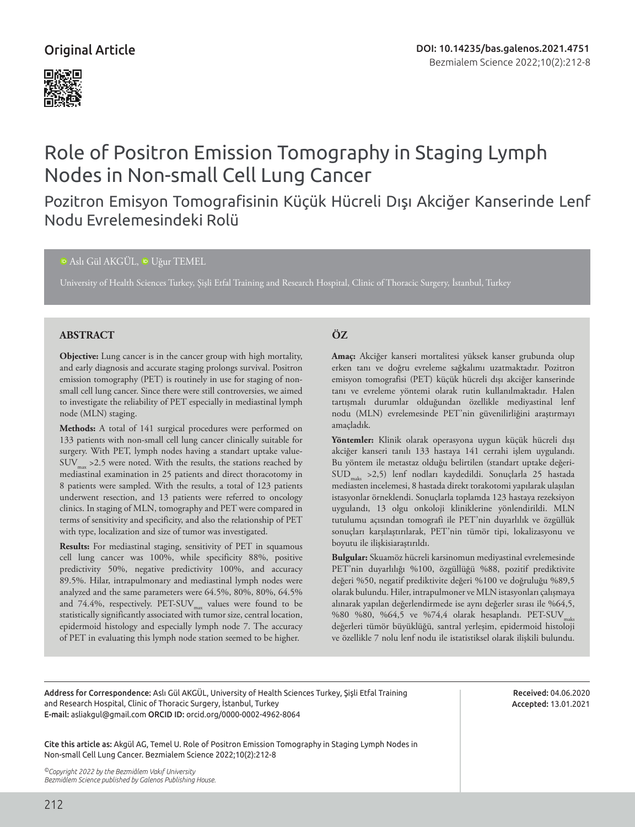## Original Article



# Role of Positron Emission Tomography in Staging Lymph Nodes in Non-small Cell Lung Cancer

# Pozitron Emisyon Tomografisinin Küçük Hücreli Dışı Akciğer Kanserinde Lenf Nodu Evrelemesindeki Rolü

#### <sup>iD</sup>Aslı Gül AKGÜL, <sup>iD</sup> Uğur TEMEL

University of Health Sciences Turkey, Şişli Etfal Training and Research Hospital, Clinic of Thoracic Surgery, İstanbul, Turkey

#### **ABSTRACT ÖZ**

**Objective:** Lung cancer is in the cancer group with high mortality, and early diagnosis and accurate staging prolongs survival. Positron emission tomography (PET) is routinely in use for staging of nonsmall cell lung cancer. Since there were still controversies, we aimed to investigate the reliability of PET especially in mediastinal lymph node (MLN) staging.

**Methods:** A total of 141 surgical procedures were performed on 133 patients with non-small cell lung cancer clinically suitable for surgery. With PET, lymph nodes having a standart uptake value- $\text{SUV}_{\text{max}}$  >2.5 were noted. With the results, the stations reached by mediastinal examination in 25 patients and direct thoracotomy in 8 patients were sampled. With the results, a total of 123 patients underwent resection, and 13 patients were referred to oncology clinics. In staging of MLN, tomography and PET were compared in terms of sensitivity and specificity, and also the relationship of PET with type, localization and size of tumor was investigated.

**Results:** For mediastinal staging, sensitivity of PET in squamous cell lung cancer was 100%, while specificity 88%, positive predictivity 50%, negative predictivity 100%, and accuracy 89.5%. Hilar, intrapulmonary and mediastinal lymph nodes were analyzed and the same parameters were 64.5%, 80%, 80%, 64.5% and 74.4%, respectively.  $\text{PET-SUV}_{\text{max}}$  values were found to be statistically significantly associated with tumor size, central location, epidermoid histology and especially lymph node 7. The accuracy of PET in evaluating this lymph node station seemed to be higher.

**Amaç:** Akciğer kanseri mortalitesi yüksek kanser grubunda olup erken tanı ve doğru evreleme sağkalımı uzatmaktadır. Pozitron emisyon tomografisi (PET) küçük hücreli dışı akciğer kanserinde tanı ve evreleme yöntemi olarak rutin kullanılmaktadır. Halen tartışmalı durumlar olduğundan özellikle mediyastinal lenf nodu (MLN) evrelemesinde PET'nin güvenilirliğini araştırmayı amaçladık.

**Yöntemler:** Klinik olarak operasyona uygun küçük hücreli dışı akciğer kanseri tanılı 133 hastaya 141 cerrahi işlem uygulandı. Bu yöntem ile metastaz olduğu belirtilen (standart uptake değeri-SUDmaks >2,5) lenf nodları kaydedildi. Sonuçlarla 25 hastada mediasten incelemesi, 8 hastada direkt torakotomi yapılarak ulaşılan istasyonlar örneklendi. Sonuçlarla toplamda 123 hastaya rezeksiyon uygulandı, 13 olgu onkoloji kliniklerine yönlendirildi. MLN tutulumu açısından tomografi ile PET'nin duyarlılık ve özgüllük sonuçları karşılaştırılarak, PET'nin tümör tipi, lokalizasyonu ve boyutu ile ilişkisiaraştırıldı.

**Bulgular:** Skuamöz hücreli karsinomun mediyastinal evrelemesinde PET'nin duyarlılığı %100, özgüllüğü %88, pozitif prediktivite değeri %50, negatif prediktivite değeri %100 ve doğruluğu %89,5 olarak bulundu. Hiler, intrapulmoner ve MLN istasyonları çalışmaya alınarak yapılan değerlendirmede ise aynı değerler sırası ile %64,5, %80 %80, %64,5 ve %74,4 olarak hesaplandı. PET-SUV<sub>maks</sub> değerleri tümör büyüklüğü, santral yerleşim, epidermoid histoloji ve özellikle 7 nolu lenf nodu ile istatistiksel olarak ilişkili bulundu.

Address for Correspondence: Aslı Gül AKGÜL, University of Health Sciences Turkey, Şişli Etfal Training and Research Hospital, Clinic of Thoracic Surgery, İstanbul, Turkey E-mail: asliakgul@gmail.com ORCID ID: orcid.org/0000-0002-4962-8064

Received: 04.06.2020 Accepted: 13.01.2021

Cite this article as: Akgül AG, Temel U. Role of Positron Emission Tomography in Staging Lymph Nodes in Non-small Cell Lung Cancer. Bezmialem Science 2022;10(2):212-8

*©Copyright 2022 by the Bezmiâlem Vakıf University Bezmiâlem Science published by Galenos Publishing House.*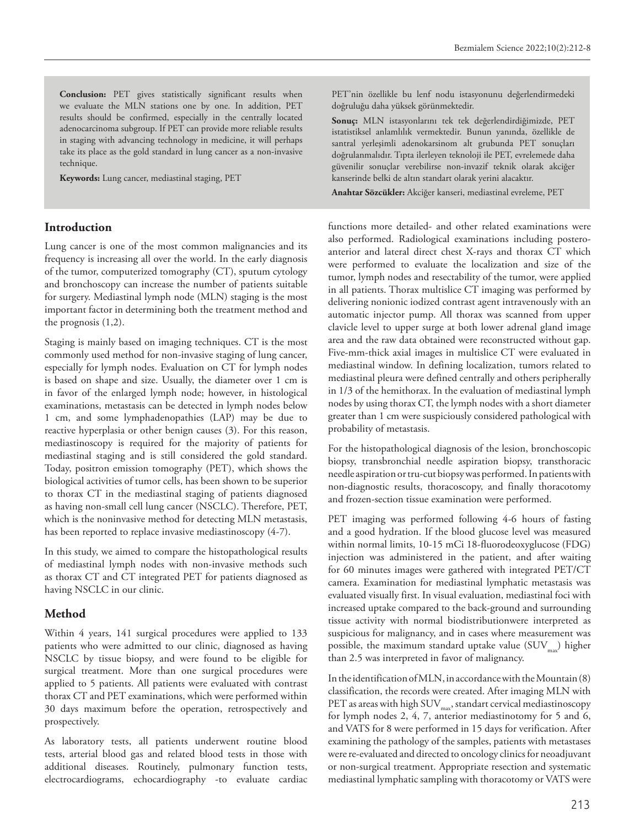**Conclusion:** PET gives statistically significant results when we evaluate the MLN stations one by one. In addition, PET results should be confirmed, especially in the centrally located adenocarcinoma subgroup. If PET can provide more reliable results in staging with advancing technology in medicine, it will perhaps take its place as the gold standard in lung cancer as a non-invasive technique.

**Keywords:** Lung cancer, mediastinal staging, PET

#### **Introduction**

Lung cancer is one of the most common malignancies and its frequency is increasing all over the world. In the early diagnosis of the tumor, computerized tomography (CT), sputum cytology and bronchoscopy can increase the number of patients suitable for surgery. Mediastinal lymph node (MLN) staging is the most important factor in determining both the treatment method and the prognosis (1,2).

Staging is mainly based on imaging techniques. CT is the most commonly used method for non-invasive staging of lung cancer, especially for lymph nodes. Evaluation on CT for lymph nodes is based on shape and size. Usually, the diameter over 1 cm is in favor of the enlarged lymph node; however, in histological examinations, metastasis can be detected in lymph nodes below 1 cm, and some lymphadenopathies (LAP) may be due to reactive hyperplasia or other benign causes (3). For this reason, mediastinoscopy is required for the majority of patients for mediastinal staging and is still considered the gold standard. Today, positron emission tomography (PET), which shows the biological activities of tumor cells, has been shown to be superior to thorax CT in the mediastinal staging of patients diagnosed as having non-small cell lung cancer (NSCLC). Therefore, PET, which is the noninvasive method for detecting MLN metastasis, has been reported to replace invasive mediastinoscopy (4-7).

In this study, we aimed to compare the histopathological results of mediastinal lymph nodes with non-invasive methods such as thorax CT and CT integrated PET for patients diagnosed as having NSCLC in our clinic.

### **Method**

Within 4 years, 141 surgical procedures were applied to 133 patients who were admitted to our clinic, diagnosed as having NSCLC by tissue biopsy, and were found to be eligible for surgical treatment. More than one surgical procedures were applied to 5 patients. All patients were evaluated with contrast thorax CT and PET examinations, which were performed within 30 days maximum before the operation, retrospectively and prospectively.

As laboratory tests, all patients underwent routine blood tests, arterial blood gas and related blood tests in those with additional diseases. Routinely, pulmonary function tests, electrocardiograms, echocardiography -to evaluate cardiac PET'nin özellikle bu lenf nodu istasyonunu değerlendirmedeki doğruluğu daha yüksek görünmektedir.

**Sonuç:** MLN istasyonlarını tek tek değerlendirdiğimizde, PET istatistiksel anlamlılık vermektedir. Bunun yanında, özellikle de santral yerleşimli adenokarsinom alt grubunda PET sonuçları doğrulanmalıdır. Tıpta ilerleyen teknoloji ile PET, evrelemede daha güvenilir sonuçlar verebilirse non-invazif teknik olarak akciğer kanserinde belki de altın standart olarak yerini alacaktır.

**Anahtar Sözcükler:** Akciğer kanseri, mediastinal evreleme, PET

functions more detailed- and other related examinations were also performed. Radiological examinations including posteroanterior and lateral direct chest X-rays and thorax CT which were performed to evaluate the localization and size of the tumor, lymph nodes and resectability of the tumor, were applied in all patients. Thorax multislice CT imaging was performed by delivering nonionic iodized contrast agent intravenously with an automatic injector pump. All thorax was scanned from upper clavicle level to upper surge at both lower adrenal gland image area and the raw data obtained were reconstructed without gap. Five-mm-thick axial images in multislice CT were evaluated in mediastinal window. In defining localization, tumors related to mediastinal pleura were defined centrally and others peripherally in 1/3 of the hemithorax. In the evaluation of mediastinal lymph nodes by using thorax CT, the lymph nodes with a short diameter greater than 1 cm were suspiciously considered pathological with probability of metastasis.

For the histopathological diagnosis of the lesion, bronchoscopic biopsy, transbronchial needle aspiration biopsy, transthoracic needle aspiration or tru-cut biopsy was performed. In patients with non-diagnostic results, thoracoscopy, and finally thoracotomy and frozen-section tissue examination were performed.

PET imaging was performed following 4-6 hours of fasting and a good hydration. If the blood glucose level was measured within normal limits, 10-15 mCi 18-fluorodeoxyglucose (FDG) injection was administered in the patient, and after waiting for 60 minutes images were gathered with integrated PET/CT camera. Examination for mediastinal lymphatic metastasis was evaluated visually first. In visual evaluation, mediastinal foci with increased uptake compared to the back-ground and surrounding tissue activity with normal biodistributionwere interpreted as suspicious for malignancy, and in cases where measurement was possible, the maximum standard uptake value  $(SUV_{mm})$  higher than 2.5 was interpreted in favor of malignancy.

In the identification of MLN, in accordance with the Mountain (8) classification, the records were created. After imaging MLN with PET as areas with high SUV $_{\rm max}$ , standart cervical mediastinoscopy for lymph nodes 2, 4, 7, anterior mediastinotomy for 5 and 6, and VATS for 8 were performed in 15 days for verification. After examining the pathology of the samples, patients with metastases were re-evaluated and directed to oncology clinics for neoadjuvant or non-surgical treatment. Appropriate resection and systematic mediastinal lymphatic sampling with thoracotomy or VATS were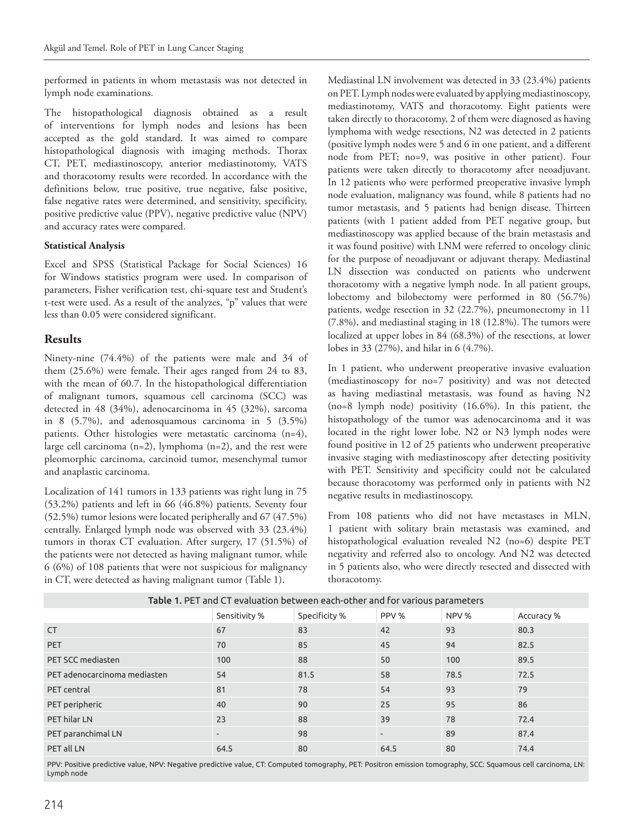performed in patients in whom metastasis was not detected in lymph node examinations.

The histopathological diagnosis obtained as a result of interventions for lymph nodes and lesions has been accepted as the gold standard. It was aimed to compare histopathological diagnosis with imaging methods. Thorax CT, PET, mediastinoscopy, anterior mediastinotomy, VATS and thoracotomy results were recorded. In accordance with the definitions below, true positive, true negative, false positive, false negative rates were determined, and sensitivity, specificity, positive predictive value (PPV), negative predictive value (NPV) and accuracy rates were compared.

#### **Statistical Analysis**

Excel and SPSS (Statistical Package for Social Sciences) 16 for Windows statistics program were used. In comparison of parameters, Fisher verification test, chi-square test and Student's t-test were used. As a result of the analyzes, "p" values that were less than 0.05 were considered significant.

#### **Results**

Ninety-nine (74.4%) of the patients were male and 34 of them (25.6%) were female. Their ages ranged from 24 to 83, with the mean of 60.7. In the histopathological differentiation of malignant tumors, squamous cell carcinoma (SCC) was detected in 48 (34%), adenocarcinoma in 45 (32%), sarcoma in 8 (5.7%), and adenosquamous carcinoma in 5 (3.5%) patients. Other histologies were metastatic carcinoma (n=4), large cell carcinoma (n=2), lymphoma (n=2), and the rest were pleomorphic carcinoma, carcinoid tumor, mesenchymal tumor and anaplastic carcinoma.

Localization of 141 tumors in 133 patients was right lung in 75 (53.2%) patients and left in 66 (46.8%) patients. Seventy four (52.5%) tumor lesions were located peripherally and 67 (47.5%) centrally. Enlarged lymph node was observed with 33 (23.4%) tumors in thorax CT evaluation. After surgery, 17 (51.5%) of the patients were not detected as having malignant tumor, while 6 (6%) of 108 patients that were not suspicious for malignancy in CT, were detected as having malignant tumor (Table 1).

Mediastinal LN involvement was detected in 33 (23.4%) patients on PET. Lymph nodes were evaluated by applying mediastinoscopy, mediastinotomy, VATS and thoracotomy. Eight patients were taken directly to thoracotomy, 2 of them were diagnosed as having lymphoma with wedge resections, N2 was detected in 2 patients (positive lymph nodes were 5 and 6 in one patient, and a different node from PET; no=9, was positive in other patient). Four patients were taken directly to thoracotomy after neoadjuvant. In 12 patients who were performed preoperative invasive lymph node evaluation, malignancy was found, while 8 patients had no tumor metastasis, and 5 patients had benign disease. Thirteen patients (with 1 patient added from PET negative group, but mediastinoscopy was applied because of the brain metastasis and it was found positive) with LNM were referred to oncology clinic for the purpose of neoadjuvant or adjuvant therapy. Mediastinal LN dissection was conducted on patients who underwent thoracotomy with a negative lymph node. In all patient groups, lobectomy and bilobectomy were performed in 80 (56.7%) patients, wedge resection in 32 (22.7%), pneumonectomy in 11 (7.8%), and mediastinal staging in 18 (12.8%). The tumors were localized at upper lobes in 84 (68.3%) of the resections, at lower lobes in 33 (27%), and hilar in 6 (4.7%).

In 1 patient, who underwent preoperative invasive evaluation (mediastinoscopy for no=7 positivity) and was not detected as having mediastinal metastasis, was found as having N2 (no=8 lymph node) positivity (16.6%). In this patient, the histopathology of the tumor was adenocarcinoma and it was located in the right lower lobe. N2 or N3 lymph nodes were found positive in 12 of 25 patients who underwent preoperative invasive staging with mediastinoscopy after detecting positivity with PET. Sensitivity and specificity could not be calculated because thoracotomy was performed only in patients with N2 negative results in mediastinoscopy.

From 108 patients who did not have metastases in MLN, 1 patient with solitary brain metastasis was examined, and histopathological evaluation revealed N2 (no=6) despite PET negativity and referred also to oncology. And N2 was detected in 5 patients also, who were directly resected and dissected with thoracotomy.

| Table 1. PET and CT evaluation between each-other and for various parameters. |                          |               |        |       |            |  |  |  |
|-------------------------------------------------------------------------------|--------------------------|---------------|--------|-------|------------|--|--|--|
|                                                                               | Sensitivity %            | Specificity % | PPV %  | NPV % | Accuracy % |  |  |  |
| <b>CT</b>                                                                     | 67                       | 83            | 42     | 93    | 80.3       |  |  |  |
| <b>PET</b>                                                                    | 70                       | 85            | 45     | 94    | 82.5       |  |  |  |
| PET SCC mediasten                                                             | 100                      | 88            | 50     | 100   | 89.5       |  |  |  |
| PET adenocarcinoma mediasten                                                  | 54                       | 81.5          | 58     | 78.5  | 72.5       |  |  |  |
| PET central                                                                   | 81                       | 78            | 54     | 93    | 79         |  |  |  |
| PET peripheric                                                                | 40                       | 90            | 25     | 95    | 86         |  |  |  |
| PET hilar LN                                                                  | 23                       | 88            | 39     | 78    | 72.4       |  |  |  |
| PET paranchimal LN                                                            | $\overline{\phantom{a}}$ | 98            | $\sim$ | 89    | 87.4       |  |  |  |
| PET all LN                                                                    | 64.5                     | 80            | 64.5   | 80    | 74.4       |  |  |  |

Table 1. PET and CT evaluation between each-other and for various parameters

PPV: Positive predictive value, NPV: Negative predictive value, CT: Computed tomography, PET: Positron emission tomography, SCC: Squamous cell carcinoma, LN: Lymph node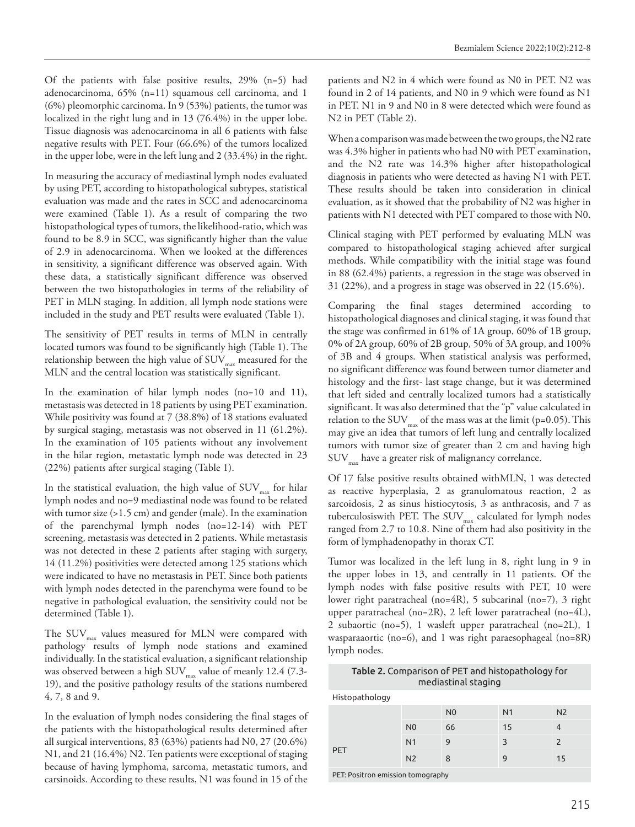Of the patients with false positive results, 29% (n=5) had adenocarcinoma, 65% (n=11) squamous cell carcinoma, and 1 (6%) pleomorphic carcinoma. In 9 (53%) patients, the tumor was localized in the right lung and in 13 (76.4%) in the upper lobe. Tissue diagnosis was adenocarcinoma in all 6 patients with false negative results with PET. Four (66.6%) of the tumors localized in the upper lobe, were in the left lung and 2 (33.4%) in the right.

In measuring the accuracy of mediastinal lymph nodes evaluated by using PET, according to histopathological subtypes, statistical evaluation was made and the rates in SCC and adenocarcinoma were examined (Table 1). As a result of comparing the two histopathological types of tumors, the likelihood-ratio, which was found to be 8.9 in SCC, was significantly higher than the value of 2.9 in adenocarcinoma. When we looked at the differences in sensitivity, a significant difference was observed again. With these data, a statistically significant difference was observed between the two histopathologies in terms of the reliability of PET in MLN staging. In addition, all lymph node stations were included in the study and PET results were evaluated (Table 1).

The sensitivity of PET results in terms of MLN in centrally located tumors was found to be significantly high (Table 1). The relationship between the high value of  $\text{SUV}_{\text{max}}$  measured for the MLN and the central location was statistically significant.

In the examination of hilar lymph nodes (no=10 and 11), metastasis was detected in 18 patients by using PET examination. While positivity was found at 7 (38.8%) of 18 stations evaluated by surgical staging, metastasis was not observed in 11 (61.2%). In the examination of 105 patients without any involvement in the hilar region, metastatic lymph node was detected in 23 (22%) patients after surgical staging (Table 1).

In the statistical evaluation, the high value of  $\text{SUV}_{\text{max}}$  for hilar lymph nodes and no=9 mediastinal node was found to be related with tumor size (>1.5 cm) and gender (male). In the examination of the parenchymal lymph nodes (no=12-14) with PET screening, metastasis was detected in 2 patients. While metastasis was not detected in these 2 patients after staging with surgery, 14 (11.2%) positivities were detected among 125 stations which were indicated to have no metastasis in PET. Since both patients with lymph nodes detected in the parenchyma were found to be negative in pathological evaluation, the sensitivity could not be determined (Table 1).

The  $\text{SUV}_{\text{max}}$  values measured for MLN were compared with pathology results of lymph node stations and examined individually. In the statistical evaluation, a significant relationship was observed between a high SUV<sub>max</sub> value of meanly 12.4 (7.3-19), and the positive pathology results of the stations numbered 4, 7, 8 and 9.

In the evaluation of lymph nodes considering the final stages of the patients with the histopathological results determined after all surgical interventions, 83 (63%) patients had N0, 27 (20.6%) N1, and 21 (16.4%) N2. Ten patients were exceptional of staging because of having lymphoma, sarcoma, metastatic tumors, and carsinoids. According to these results, N1 was found in 15 of the

patients and N2 in 4 which were found as N0 in PET. N2 was found in 2 of 14 patients, and N0 in 9 which were found as N1 in PET. N1 in 9 and N0 in 8 were detected which were found as N2 in PET (Table 2).

When a comparison was made between the two groups, the N2 rate was 4.3% higher in patients who had N0 with PET examination, and the N2 rate was 14.3% higher after histopathological diagnosis in patients who were detected as having N1 with PET. These results should be taken into consideration in clinical evaluation, as it showed that the probability of N2 was higher in patients with N1 detected with PET compared to those with N0.

Clinical staging with PET performed by evaluating MLN was compared to histopathological staging achieved after surgical methods. While compatibility with the initial stage was found in 88 (62.4%) patients, a regression in the stage was observed in 31 (22%), and a progress in stage was observed in 22 (15.6%).

Comparing the final stages determined according to histopathological diagnoses and clinical staging, it was found that the stage was confirmed in 61% of 1A group, 60% of 1B group, 0% of 2A group, 60% of 2B group, 50% of 3A group, and 100% of 3B and 4 groups. When statistical analysis was performed, no significant difference was found between tumor diameter and histology and the first- last stage change, but it was determined that left sided and centrally localized tumors had a statistically significant. It was also determined that the "p" value calculated in relation to the SUV $_{\text{max}}$  of the mass was at the limit (p=0.05). This may give an idea that tumors of left lung and centrally localized tumors with tumor size of greater than 2 cm and having high  $\text{SUV}_{\text{max}}$  have a greater risk of malignancy correlance.

Of 17 false positive results obtained withMLN, 1 was detected as reactive hyperplasia, 2 as granulomatous reaction, 2 as sarcoidosis, 2 as sinus histiocytosis, 3 as anthracosis, and 7 as tuberculosiswith PET. The  $\text{SUV}_{\text{max}}$  calculated for lymph nodes ranged from 2.7 to 10.8. Nine of them had also positivity in the form of lymphadenopathy in thorax CT.

Tumor was localized in the left lung in 8, right lung in 9 in the upper lobes in 13, and centrally in 11 patients. Of the lymph nodes with false positive results with PET, 10 were lower right paratracheal (no=4R), 5 subcarinal (no=7), 3 right upper paratracheal (no=2R), 2 left lower paratracheal (no=4L), 2 subaortic (no=5), 1 wasleft upper paratracheal (no=2L), 1 wasparaaortic (no=6), and 1 was right paraesophageal (no=8R) lymph nodes.

#### Table 2. Comparison of PET and histopathology for mediastinal staging

Histopathology

|                                   |                | N <sub>0</sub> | N <sub>1</sub> | N <sub>2</sub> |  |  |  |  |
|-----------------------------------|----------------|----------------|----------------|----------------|--|--|--|--|
|                                   | N <sub>0</sub> | 66             | 15             |                |  |  |  |  |
| <b>PET</b>                        | N <sub>1</sub> | 9              | २              | 2              |  |  |  |  |
|                                   | N <sub>2</sub> | 8              | 9              | 15             |  |  |  |  |
| PET: Positron emission tomography |                |                |                |                |  |  |  |  |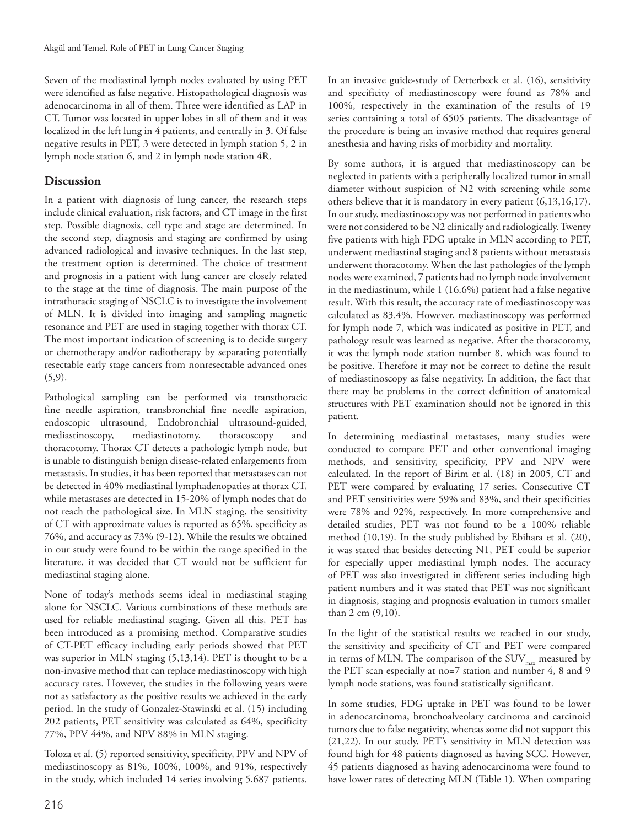Seven of the mediastinal lymph nodes evaluated by using PET were identified as false negative. Histopathological diagnosis was adenocarcinoma in all of them. Three were identified as LAP in CT. Tumor was located in upper lobes in all of them and it was localized in the left lung in 4 patients, and centrally in 3. Of false negative results in PET, 3 were detected in lymph station 5, 2 in lymph node station 6, and 2 in lymph node station 4R.

#### **Discussion**

In a patient with diagnosis of lung cancer, the research steps include clinical evaluation, risk factors, and CT image in the first step. Possible diagnosis, cell type and stage are determined. In the second step, diagnosis and staging are confirmed by using advanced radiological and invasive techniques. In the last step, the treatment option is determined. The choice of treatment and prognosis in a patient with lung cancer are closely related to the stage at the time of diagnosis. The main purpose of the intrathoracic staging of NSCLC is to investigate the involvement of MLN. It is divided into imaging and sampling magnetic resonance and PET are used in staging together with thorax CT. The most important indication of screening is to decide surgery or chemotherapy and/or radiotherapy by separating potentially resectable early stage cancers from nonresectable advanced ones  $(5,9)$ .

Pathological sampling can be performed via transthoracic fine needle aspiration, transbronchial fine needle aspiration, endoscopic ultrasound, Endobronchial ultrasound-guided, mediastinoscopy, mediastinotomy, thoracoscopy and thoracotomy. Thorax CT detects a pathologic lymph node, but is unable to distinguish benign disease-related enlargements from metastasis. In studies, it has been reported that metastases can not be detected in 40% mediastinal lymphadenopaties at thorax CT, while metastases are detected in 15-20% of lymph nodes that do not reach the pathological size. In MLN staging, the sensitivity of CT with approximate values is reported as 65%, specificity as 76%, and accuracy as 73% (9-12). While the results we obtained in our study were found to be within the range specified in the literature, it was decided that CT would not be sufficient for mediastinal staging alone.

None of today's methods seems ideal in mediastinal staging alone for NSCLC. Various combinations of these methods are used for reliable mediastinal staging. Given all this, PET has been introduced as a promising method. Comparative studies of CT-PET efficacy including early periods showed that PET was superior in MLN staging (5,13,14). PET is thought to be a non-invasive method that can replace mediastinoscopy with high accuracy rates. However, the studies in the following years were not as satisfactory as the positive results we achieved in the early period. In the study of Gonzalez-Stawinski et al. (15) including 202 patients, PET sensitivity was calculated as 64%, specificity 77%, PPV 44%, and NPV 88% in MLN staging.

Toloza et al. (5) reported sensitivity, specificity, PPV and NPV of mediastinoscopy as 81%, 100%, 100%, and 91%, respectively in the study, which included 14 series involving 5,687 patients.

In an invasive guide-study of Detterbeck et al. (16), sensitivity and specificity of mediastinoscopy were found as 78% and 100%, respectively in the examination of the results of 19 series containing a total of 6505 patients. The disadvantage of the procedure is being an invasive method that requires general anesthesia and having risks of morbidity and mortality.

By some authors, it is argued that mediastinoscopy can be neglected in patients with a peripherally localized tumor in small diameter without suspicion of N2 with screening while some others believe that it is mandatory in every patient (6,13,16,17). In our study, mediastinoscopy was not performed in patients who were not considered to be N2 clinically and radiologically. Twenty five patients with high FDG uptake in MLN according to PET, underwent mediastinal staging and 8 patients without metastasis underwent thoracotomy. When the last pathologies of the lymph nodes were examined, 7 patients had no lymph node involvement in the mediastinum, while 1 (16.6%) patient had a false negative result. With this result, the accuracy rate of mediastinoscopy was calculated as 83.4%. However, mediastinoscopy was performed for lymph node 7, which was indicated as positive in PET, and pathology result was learned as negative. After the thoracotomy, it was the lymph node station number 8, which was found to be positive. Therefore it may not be correct to define the result of mediastinoscopy as false negativity. In addition, the fact that there may be problems in the correct definition of anatomical structures with PET examination should not be ignored in this patient.

In determining mediastinal metastases, many studies were conducted to compare PET and other conventional imaging methods, and sensitivity, specificity, PPV and NPV were calculated. In the report of Birim et al. (18) in 2005, CT and PET were compared by evaluating 17 series. Consecutive CT and PET sensitivities were 59% and 83%, and their specificities were 78% and 92%, respectively. In more comprehensive and detailed studies, PET was not found to be a 100% reliable method (10,19). In the study published by Ebihara et al. (20), it was stated that besides detecting N1, PET could be superior for especially upper mediastinal lymph nodes. The accuracy of PET was also investigated in different series including high patient numbers and it was stated that PET was not significant in diagnosis, staging and prognosis evaluation in tumors smaller than 2 cm (9,10).

In the light of the statistical results we reached in our study, the sensitivity and specificity of CT and PET were compared in terms of MLN. The comparison of the  $\mathrm{SUV}_\mathrm{max}$  measured by the PET scan especially at no=7 station and number 4, 8 and 9 lymph node stations, was found statistically significant.

In some studies, FDG uptake in PET was found to be lower in adenocarcinoma, bronchoalveolary carcinoma and carcinoid tumors due to false negativity, whereas some did not support this (21,22). In our study, PET's sensitivity in MLN detection was found high for 48 patients diagnosed as having SCC. However, 45 patients diagnosed as having adenocarcinoma were found to have lower rates of detecting MLN (Table 1). When comparing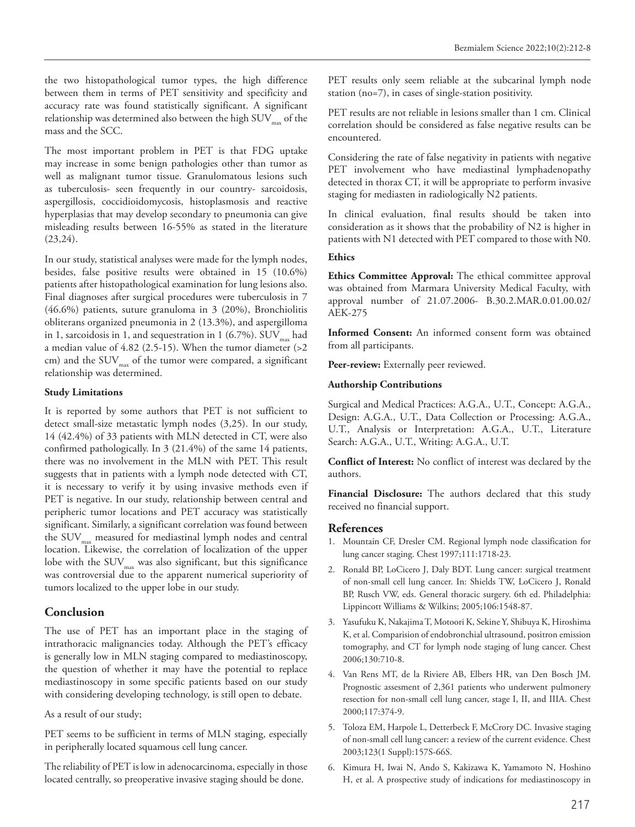the two histopathological tumor types, the high difference between them in terms of PET sensitivity and specificity and accuracy rate was found statistically significant. A significant relationship was determined also between the high  $\text{SUV}_{\text{max}}$  of the mass and the SCC.

The most important problem in PET is that FDG uptake may increase in some benign pathologies other than tumor as well as malignant tumor tissue. Granulomatous lesions such as tuberculosis- seen frequently in our country- sarcoidosis, aspergillosis, coccidioidomycosis, histoplasmosis and reactive hyperplasias that may develop secondary to pneumonia can give misleading results between 16-55% as stated in the literature  $(23,24)$ .

In our study, statistical analyses were made for the lymph nodes, besides, false positive results were obtained in 15 (10.6%) patients after histopathological examination for lung lesions also. Final diagnoses after surgical procedures were tuberculosis in 7 (46.6%) patients, suture granuloma in 3 (20%), Bronchiolitis obliterans organized pneumonia in 2 (13.3%), and aspergilloma in 1, sarcoidosis in 1, and sequestration in 1 (6.7%). SUV $_{\text{max}}$  had a median value of 4.82 (2.5-15). When the tumor diameter (>2 cm) and the  $\text{SUV}_\text{max}$  of the tumor were compared, a significant relationship was determined.

#### **Study Limitations**

It is reported by some authors that PET is not sufficient to detect small-size metastatic lymph nodes (3,25). In our study, 14 (42.4%) of 33 patients with MLN detected in CT, were also confirmed pathologically. In 3 (21.4%) of the same 14 patients, there was no involvement in the MLN with PET. This result suggests that in patients with a lymph node detected with CT, it is necessary to verify it by using invasive methods even if PET is negative. In our study, relationship between central and peripheric tumor locations and PET accuracy was statistically significant. Similarly, a significant correlation was found between the  $\text{SUV}_{\text{max}}$  measured for mediastinal lymph nodes and central location. Likewise, the correlation of localization of the upper lobe with the  $\text{SUV}_{\text{max}}$  was also significant, but this significance was controversial due to the apparent numerical superiority of tumors localized to the upper lobe in our study.

#### **Conclusion**

The use of PET has an important place in the staging of intrathoracic malignancies today. Although the PET's efficacy is generally low in MLN staging compared to mediastinoscopy, the question of whether it may have the potential to replace mediastinoscopy in some specific patients based on our study with considering developing technology, is still open to debate.

As a result of our study;

PET seems to be sufficient in terms of MLN staging, especially in peripherally located squamous cell lung cancer.

The reliability of PET is low in adenocarcinoma, especially in those located centrally, so preoperative invasive staging should be done.

PET results only seem reliable at the subcarinal lymph node station (no=7), in cases of single-station positivity.

PET results are not reliable in lesions smaller than 1 cm. Clinical correlation should be considered as false negative results can be encountered.

Considering the rate of false negativity in patients with negative PET involvement who have mediastinal lymphadenopathy detected in thorax CT, it will be appropriate to perform invasive staging for mediasten in radiologically N2 patients.

In clinical evaluation, final results should be taken into consideration as it shows that the probability of N2 is higher in patients with N1 detected with PET compared to those with N0.

#### **Ethics**

**Ethics Committee Approval:** The ethical committee approval was obtained from Marmara University Medical Faculty, with approval number of 21.07.2006- B.30.2.MAR.0.01.00.02/ AEK-275

**Informed Consent:** An informed consent form was obtained from all participants.

Peer-review: Externally peer reviewed.

#### **Authorship Contributions**

Surgical and Medical Practices: A.G.A., U.T., Concept: A.G.A., Design: A.G.A., U.T., Data Collection or Processing: A.G.A., U.T., Analysis or Interpretation: A.G.A., U.T., Literature Search: A.G.A., U.T., Writing: A.G.A., U.T.

**Conflict of Interest:** No conflict of interest was declared by the authors.

**Financial Disclosure:** The authors declared that this study received no financial support.

#### **References**

- 1. Mountain CF, Dresler CM. Regional lymph node classification for lung cancer staging. Chest 1997;111:1718-23.
- 2. Ronald BP, LoCicero J, Daly BDT. Lung cancer: surgical treatment of non-small cell lung cancer. In: Shields TW, LoCicero J, Ronald BP, Rusch VW, eds. General thoracic surgery. 6th ed. Philadelphia: Lippincott Williams & Wilkins; 2005;106:1548-87.
- 3. Yasufuku K, Nakajima T, Motoori K, Sekine Y, Shibuya K, Hiroshima K, et al. Comparision of endobronchial ultrasound, positron emission tomography, and CT for lymph node staging of lung cancer. Chest 2006;130:710-8.
- 4. Van Rens MT, de la Riviere AB, Elbers HR, van Den Bosch JM. Prognostic assesment of 2,361 patients who underwent pulmonery resection for non-small cell lung cancer, stage I, II, and IIIA. Chest 2000;117:374-9.
- 5. Toloza EM, Harpole L, Detterbeck F, McCrory DC. Invasive staging of non-small cell lung cancer: a review of the current evidence. Chest 2003;123(1 Suppl):157S-66S.
- 6. Kimura H, Iwai N, Ando S, Kakizawa K, Yamamoto N, Hoshino H, et al. A prospective study of indications for mediastinoscopy in